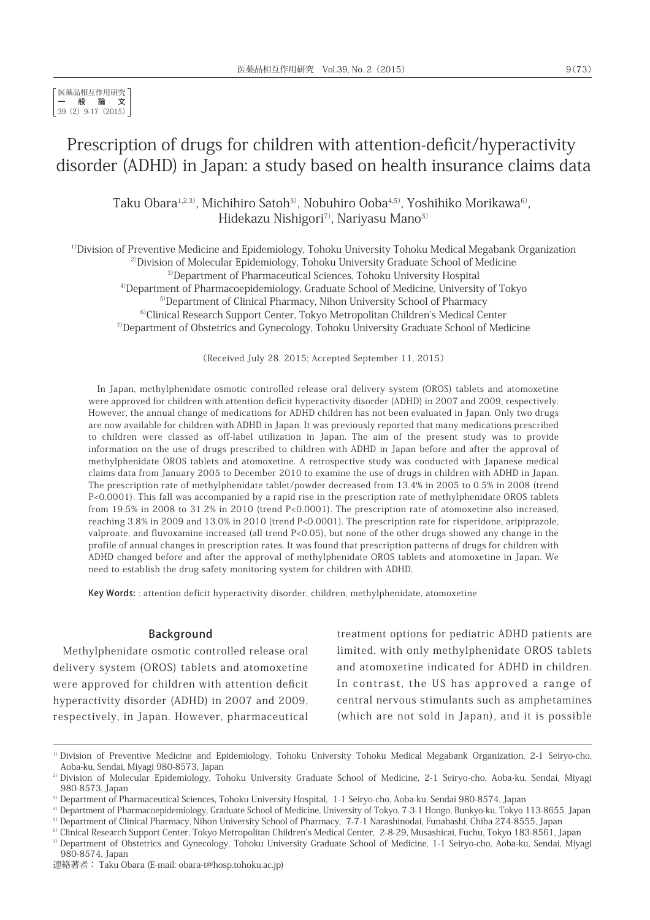# Prescription of drugs for children with attention-deficit/hyperactivity disorder (ADHD) in Japan: a study based on health insurance claims data

Taku Obara<sup>1,2,3)</sup>, Michihiro Satoh<sup>3)</sup>, Nobuhiro Ooba<sup>4,5)</sup>, Yoshihiko Morikawa<sup>6)</sup>, Hidekazu Nishigori<sup>7)</sup>, Nariyasu Mano<sup>3)</sup>

<sup>1)</sup>Division of Preventive Medicine and Epidemiology, Tohoku University Tohoku Medical Megabank Organization <sup>2)</sup>Division of Molecular Epidemiology, Tohoku University Graduate School of Medicine 3)Department of Pharmaceutical Sciences, Tohoku University Hospital 4)Department of Pharmacoepidemiology, Graduate School of Medicine, University of Tokyo <sup>5)</sup>Department of Clinical Pharmacy, Nihon University School of Pharmacy

6)Clinical Research Support Center, Tokyo Metropolitan Children's Medical Center  $7$ Department of Obstetrics and Gynecology, Tohoku University Graduate School of Medicine

(Received July 28, 2015; Accepted September 11, 2015)

In Japan, methylphenidate osmotic controlled release oral delivery system (OROS) tablets and atomoxetine were approved for children with attention deficit hyperactivity disorder (ADHD) in 2007 and 2009, respectively. However, the annual change of medications for ADHD children has not been evaluated in Japan. Only two drugs are now available for children with ADHD in Japan. It was previously reported that many medications prescribed to children were classed as off-label utilization in Japan. The aim of the present study was to provide information on the use of drugs prescribed to children with ADHD in Japan before and after the approval of methylphenidate OROS tablets and atomoxetine. A retrospective study was conducted with Japanese medical claims data from January 2005 to December 2010 to examine the use of drugs in children with ADHD in Japan. The prescription rate of methylphenidate tablet/powder decreased from 13.4% in 2005 to 0.5% in 2008 (trend P<0.0001). This fall was accompanied by a rapid rise in the prescription rate of methylphenidate OROS tablets from 19.5% in 2008 to 31.2% in 2010 (trend P<0.0001). The prescription rate of atomoxetine also increased, reaching 3.8% in 2009 and 13.0% in 2010 (trend P<0.0001). The prescription rate for risperidone, aripiprazole, valproate, and fluvoxamine increased (all trend P<0.05), but none of the other drugs showed any change in the profile of annual changes in prescription rates. It was found that prescription patterns of drugs for children with ADHD changed before and after the approval of methylphenidate OROS tablets and atomoxetine in Japan. We need to establish the drug safety monitoring system for children with ADHD.

Key Words: : attention deficit hyperactivity disorder, children, methylphenidate, atomoxetine

#### Background

Methylphenidate osmotic controlled release oral delivery system (OROS) tablets and atomoxetine were approved for children with attention deficit hyperactivity disorder (ADHD) in 2007 and 2009, respectively, in Japan. However, pharmaceutical

treatment options for pediatric ADHD patients are limited, with only methylphenidate OROS tablets and atomoxetine indicated for ADHD in children. In contrast, the US has approved a range of central nervous stimulants such as amphetamines (which are not sold in Japan), and it is possible

<sup>&</sup>lt;sup>1)</sup> Division of Preventive Medicine and Epidemiology, Tohoku University Tohoku Medical Megabank Organization, 2-1 Seiryo-cho, Aoba-ku, Sendai, Miyagi 980-8573, Japan

<sup>&</sup>lt;sup>2)</sup> Division of Molecular Epidemiology, Tohoku University Graduate School of Medicine, 2-1 Seiryo-cho, Aoba-ku, Sendai, Miyagi 980-8573, Japan<br><sup>3)</sup> Department of Pharmaceutical Sciences, Tohoku University Hospital, 1-1 Seiryo-cho, Aoba-ku, Sendai 980-8574, Japan<br><sup>4)</sup> Department of Pharmacoepidemiology, Graduate School of Medicine, University of To

<sup>&</sup>lt;sup>5)</sup> Department of Clinical Pharmacy, Nihon University School of Pharmacy, 7-7-1 Narashinodai, Funabashi, Chiba 274-8555, Japan<br><sup>6)</sup> Clinical Research Support Center, Tokyo Metropolitan Children's Medical Center, 2-8-29, M

<sup>7)</sup>Department of Obstetrics and Gynecology, Tohoku University Graduate School of Medicine, 1-1 Seiryo-cho, Aoba-ku, Sendai, Miyagi 980-8574, Japan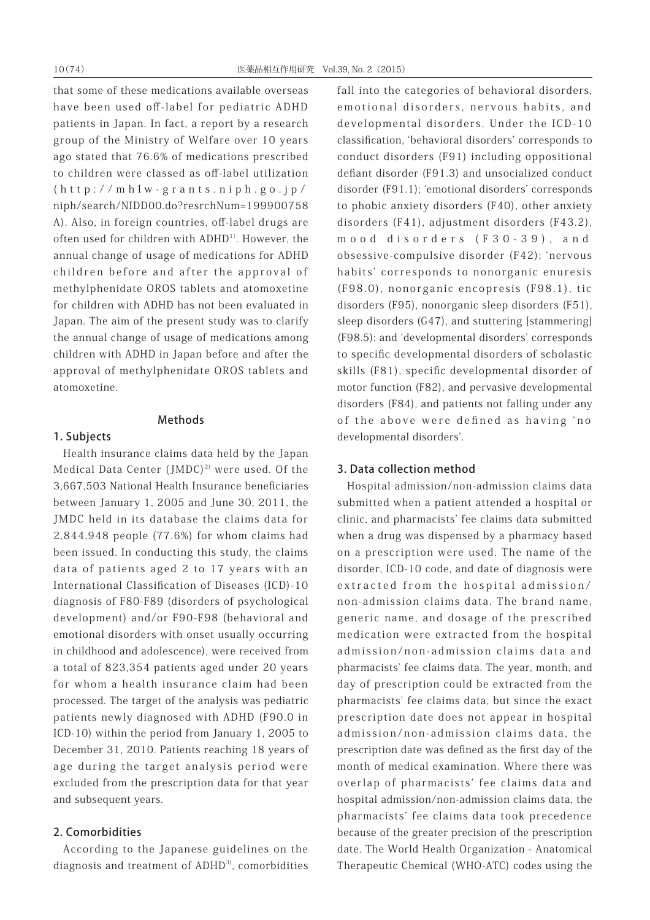that some of these medications available overseas have been used off-label for pediatric ADHD patients in Japan. In fact, a report by a research group of the Ministry of Welfare over 10 years ago stated that 76.6% of medications prescribed to children were classed as off-label utilization (http://mhlw-grants.niph.go.jp/ niph/search/NIDD00.do?resrchNum=199900758 A). Also, in foreign countries, off-label drugs are often used for children with ADHD<sup>1)</sup>. However, the annual change of usage of medications for ADHD children before and after the approval of methylphenidate OROS tablets and atomoxetine for children with ADHD has not been evaluated in Japan. The aim of the present study was to clarify the annual change of usage of medications among children with ADHD in Japan before and after the approval of methylphenidate OROS tablets and atomoxetine.

#### Methods

# 1. Subjects

Health insurance claims data held by the Japan Medical Data Center  $(\text{JMDC})^{2}$  were used. Of the 3,667,503 National Health Insurance beneficiaries between January 1, 2005 and June 30, 2011, the JMDC held in its database the claims data for 2,844,948 people (77.6%) for whom claims had been issued. In conducting this study, the claims data of patients aged 2 to 17 years with an International Classification of Diseases (ICD)-10 diagnosis of F80-F89 (disorders of psychological development) and/or F90-F98 (behavioral and emotional disorders with onset usually occurring in childhood and adolescence), were received from a total of 823,354 patients aged under 20 years for whom a health insurance claim had been processed. The target of the analysis was pediatric patients newly diagnosed with ADHD (F90.0 in ICD-10) within the period from January 1, 2005 to December 31, 2010. Patients reaching 18 years of age during the target analysis period were excluded from the prescription data for that year and subsequent years.

# 2. Comorbidities

According to the Japanese guidelines on the diagnosis and treatment of ADHD<sup>3)</sup>, comorbidities fall into the categories of behavioral disorders, emotional disorders, nervous habits, and developmental disorders. Under the ICD-10 classification, ʻbehavioral disorders' corresponds to conduct disorders (F91) including oppositional defiant disorder (F91.3) and unsocialized conduct disorder (F91.1); ʻemotional disorders' corresponds to phobic anxiety disorders (F40), other anxiety disorders (F41), adjustment disorders (F43.2), mood disorders (F30-39), and obsessive-compulsive disorder (F42); ʻnervous habits' corresponds to nonorganic enuresis (F98.0), nonorganic encopresis (F98.1), tic disorders (F95), nonorganic sleep disorders (F51), sleep disorders (G47), and stuttering [stammering] (F98.5); and ʻdevelopmental disorders' corresponds to specific developmental disorders of scholastic skills (F81), specific developmental disorder of motor function (F82), and pervasive developmental disorders (F84), and patients not falling under any of the above were defined as having ʻno developmental disorders'.

### 3. Data collection method

Hospital admission/non-admission claims data submitted when a patient attended a hospital or clinic, and pharmacists' fee claims data submitted when a drug was dispensed by a pharmacy based on a prescription were used. The name of the disorder, ICD-10 code, and date of diagnosis were extracted from the hospital admission/ non-admission claims data. The brand name, generic name, and dosage of the prescribed medication were extracted from the hospital admission/non-admission claims data and pharmacists' fee claims data. The year, month, and day of prescription could be extracted from the pharmacists' fee claims data, but since the exact prescription date does not appear in hospital admission/non-admission claims data, the prescription date was defined as the first day of the month of medical examination. Where there was overlap of pharmacists' fee claims data and hospital admission/non-admission claims data, the pharmacists' fee claims data took precedence because of the greater precision of the prescription date. The World Health Organization - Anatomical Therapeutic Chemical (WHO-ATC) codes using the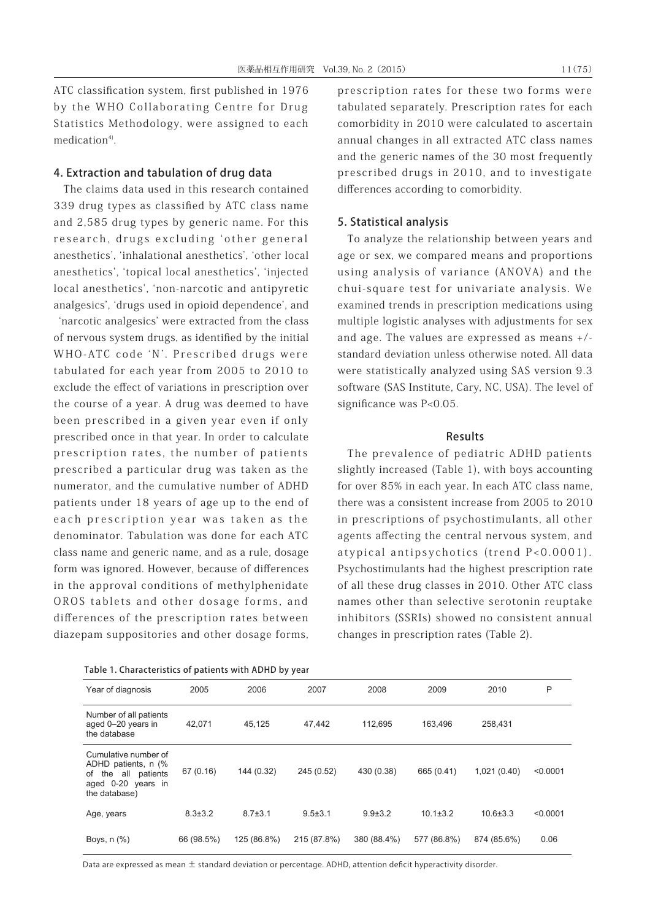ATC classification system, first published in 1976 by the WHO Collaborating Centre for Drug Statistics Methodology, were assigned to each medication $4$ <sup>0</sup>.

## 4. Extraction and tabulation of drug data

The claims data used in this research contained 339 drug types as classified by ATC class name and 2,585 drug types by generic name. For this research, drugs excluding ʻother general anesthetics', ʻinhalational anesthetics', ʻother local anesthetics', ʻtopical local anesthetics', ʻinjected local anesthetics', ʻnon-narcotic and antipyretic analgesics', ʻdrugs used in opioid dependence', and ʻnarcotic analgesics' were extracted from the class of nervous system drugs, as identified by the initial WHO-ATC code ʻN'. Prescribed drugs were tabulated for each year from 2005 to 2010 to exclude the effect of variations in prescription over the course of a year. A drug was deemed to have been prescribed in a given year even if only prescribed once in that year. In order to calculate prescription rates, the number of patients prescribed a particular drug was taken as the numerator, and the cumulative number of ADHD patients under 18 years of age up to the end of each prescription year was taken as the denominator. Tabulation was done for each ATC class name and generic name, and as a rule, dosage form was ignored. However, because of differences in the approval conditions of methylphenidate OROS tablets and other dosage forms, and differences of the prescription rates between diazepam suppositories and other dosage forms,

prescription rates for these two forms were tabulated separately. Prescription rates for each comorbidity in 2010 were calculated to ascertain annual changes in all extracted ATC class names and the generic names of the 30 most frequently prescribed drugs in 2010, and to investigate differences according to comorbidity.

## 5. Statistical analysis

To analyze the relationship between years and age or sex, we compared means and proportions using analysis of variance (ANOVA) and the chui-square test for univariate analysis. We examined trends in prescription medications using multiple logistic analyses with adjustments for sex and age. The values are expressed as means +/ standard deviation unless otherwise noted. All data were statistically analyzed using SAS version 9.3 software (SAS Institute, Cary, NC, USA). The level of significance was P<0.05.

## Results

The prevalence of pediatric ADHD patients slightly increased (Table 1), with boys accounting for over 85% in each year. In each ATC class name, there was a consistent increase from 2005 to 2010 in prescriptions of psychostimulants, all other agents affecting the central nervous system, and atypical antipsychotics (trend P<0.0001). Psychostimulants had the highest prescription rate of all these drug classes in 2010. Other ATC class names other than selective serotonin reuptake inhibitors (SSRIs) showed no consistent annual changes in prescription rates (Table 2).

| Year of diagnosis                                                                                            | 2005          | 2006          | 2007          | 2008          | 2009           | 2010           | P        |  |  |  |
|--------------------------------------------------------------------------------------------------------------|---------------|---------------|---------------|---------------|----------------|----------------|----------|--|--|--|
| Number of all patients<br>aged 0-20 years in<br>the database                                                 | 42.071        | 45.125        | 47.442        | 112.695       | 163,496        | 258.431        |          |  |  |  |
| Cumulative number of<br>ADHD patients, n (%<br>the all patients<br>of<br>aged 0-20 years in<br>the database) | 67 (0.16)     | 144 (0.32)    | 245 (0.52)    | 430 (0.38)    | 665 (0.41)     | 1,021(0.40)    | < 0.0001 |  |  |  |
| Age, years                                                                                                   | $8.3 \pm 3.2$ | $8.7 \pm 3.1$ | $9.5 \pm 3.1$ | $9.9 \pm 3.2$ | $10.1 \pm 3.2$ | $10.6 \pm 3.3$ | < 0.0001 |  |  |  |
| Boys, $n$ $(\%)$                                                                                             | 66 (98.5%)    | 125 (86.8%)   | 215 (87.8%)   | 380 (88.4%)   | 577 (86.8%)    | 874 (85.6%)    | 0.06     |  |  |  |

Data are expressed as mean ± standard deviation or percentage. ADHD, attention deficit hyperactivity disorder.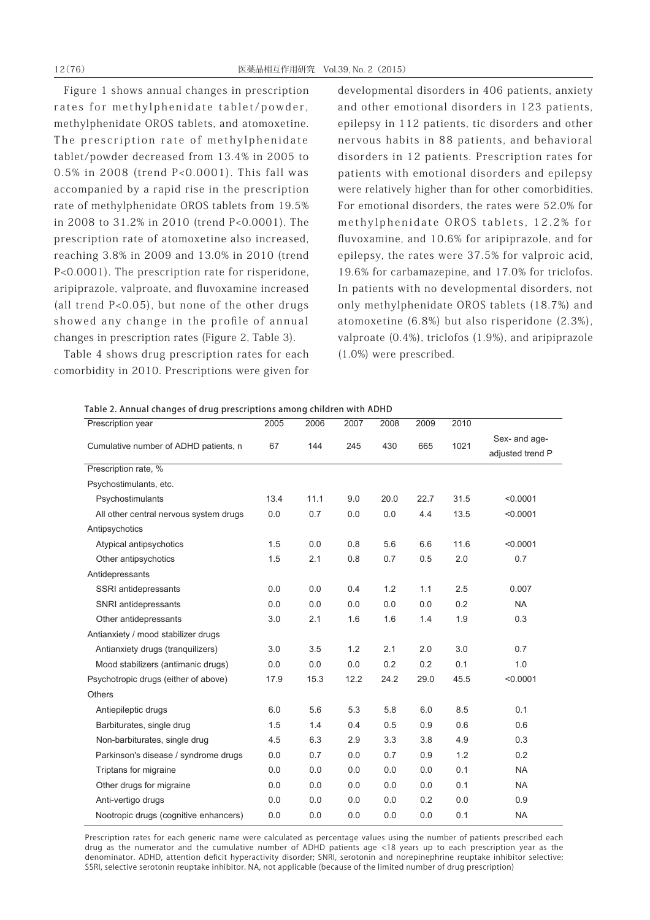Figure 1 shows annual changes in prescription rates for methylphenidate tablet/powder, methylphenidate OROS tablets, and atomoxetine. The prescription rate of methylphenidate tablet/powder decreased from 13.4% in 2005 to 0.5% in 2008 (trend P<0.0001). This fall was accompanied by a rapid rise in the prescription rate of methylphenidate OROS tablets from 19.5% in 2008 to 31.2% in 2010 (trend P<0.0001). The prescription rate of atomoxetine also increased, reaching 3.8% in 2009 and 13.0% in 2010 (trend P<0.0001). The prescription rate for risperidone, aripiprazole, valproate, and fluvoxamine increased (all trend P<0.05), but none of the other drugs showed any change in the profile of annual changes in prescription rates (Figure 2, Table 3).

Table 4 shows drug prescription rates for each comorbidity in 2010. Prescriptions were given for

developmental disorders in 406 patients, anxiety and other emotional disorders in 123 patients, epilepsy in 112 patients, tic disorders and other nervous habits in 88 patients, and behavioral disorders in 12 patients. Prescription rates for patients with emotional disorders and epilepsy were relatively higher than for other comorbidities. For emotional disorders, the rates were 52.0% for methylphenidate OROS tablets, 12.2% for fluvoxamine, and 10.6% for aripiprazole, and for epilepsy, the rates were 37.5% for valproic acid, 19.6% for carbamazepine, and 17.0% for triclofos. In patients with no developmental disorders, not only methylphenidate OROS tablets (18.7%) and atomoxetine (6.8%) but also risperidone (2.3%), valproate (0.4%), triclofos (1.9%), and aripiprazole (1.0%) were prescribed.

| Table 2. Annual changes of drug prescriptions among children with ADHD |  |  |  |
|------------------------------------------------------------------------|--|--|--|
|                                                                        |  |  |  |

| Prescription year                      | 2005 | 2006 | 2007 | 2008 | 2009 | 2010 |                                   |
|----------------------------------------|------|------|------|------|------|------|-----------------------------------|
| Cumulative number of ADHD patients, n  | 67   | 144  | 245  | 430  | 665  | 1021 | Sex- and age-<br>adjusted trend P |
| Prescription rate, %                   |      |      |      |      |      |      |                                   |
| Psychostimulants, etc.                 |      |      |      |      |      |      |                                   |
| Psychostimulants                       | 13.4 | 11.1 | 9.0  | 20.0 | 22.7 | 31.5 | < 0.0001                          |
| All other central nervous system drugs | 0.0  | 0.7  | 0.0  | 0.0  | 4.4  | 13.5 | < 0.0001                          |
| Antipsychotics                         |      |      |      |      |      |      |                                   |
| Atypical antipsychotics                | 1.5  | 0.0  | 0.8  | 5.6  | 6.6  | 11.6 | < 0.0001                          |
| Other antipsychotics                   | 1.5  | 2.1  | 0.8  | 0.7  | 0.5  | 2.0  | 0.7                               |
| Antidepressants                        |      |      |      |      |      |      |                                   |
| SSRI antidepressants                   | 0.0  | 0.0  | 0.4  | 1.2  | 1.1  | 2.5  | 0.007                             |
| SNRI antidepressants                   | 0.0  | 0.0  | 0.0  | 0.0  | 0.0  | 0.2  | <b>NA</b>                         |
| Other antidepressants                  | 3.0  | 2.1  | 1.6  | 1.6  | 1.4  | 1.9  | 0.3                               |
| Antianxiety / mood stabilizer drugs    |      |      |      |      |      |      |                                   |
| Antianxiety drugs (tranquilizers)      | 3.0  | 3.5  | 1.2  | 2.1  | 2.0  | 3.0  | 0.7                               |
| Mood stabilizers (antimanic drugs)     | 0.0  | 0.0  | 0.0  | 0.2  | 0.2  | 0.1  | 1.0                               |
| Psychotropic drugs (either of above)   | 17.9 | 15.3 | 12.2 | 24.2 | 29.0 | 45.5 | < 0.0001                          |
| <b>Others</b>                          |      |      |      |      |      |      |                                   |
| Antiepileptic drugs                    | 6.0  | 5.6  | 5.3  | 5.8  | 6.0  | 8.5  | 0.1                               |
| Barbiturates, single drug              | 1.5  | 1.4  | 0.4  | 0.5  | 0.9  | 0.6  | 0.6                               |
| Non-barbiturates, single drug          | 4.5  | 6.3  | 2.9  | 3.3  | 3.8  | 4.9  | 0.3                               |
| Parkinson's disease / syndrome drugs   | 0.0  | 0.7  | 0.0  | 0.7  | 0.9  | 1.2  | 0.2                               |
| Triptans for migraine                  | 0.0  | 0.0  | 0.0  | 0.0  | 0.0  | 0.1  | <b>NA</b>                         |
| Other drugs for migraine               | 0.0  | 0.0  | 0.0  | 0.0  | 0.0  | 0.1  | <b>NA</b>                         |
| Anti-vertigo drugs                     | 0.0  | 0.0  | 0.0  | 0.0  | 0.2  | 0.0  | 0.9                               |
| Nootropic drugs (cognitive enhancers)  | 0.0  | 0.0  | 0.0  | 0.0  | 0.0  | 0.1  | <b>NA</b>                         |

Prescription rates for each generic name were calculated as percentage values using the number of patients prescribed each drug as the numerator and the cumulative number of ADHD patients age <18 years up to each prescription year as the denominator. ADHD, attention deficit hyperactivity disorder; SNRI, serotonin and norepinephrine reuptake inhibitor selective; SSRI, selective serotonin reuptake inhibitor. NA, not applicable (because of the limited number of drug prescription)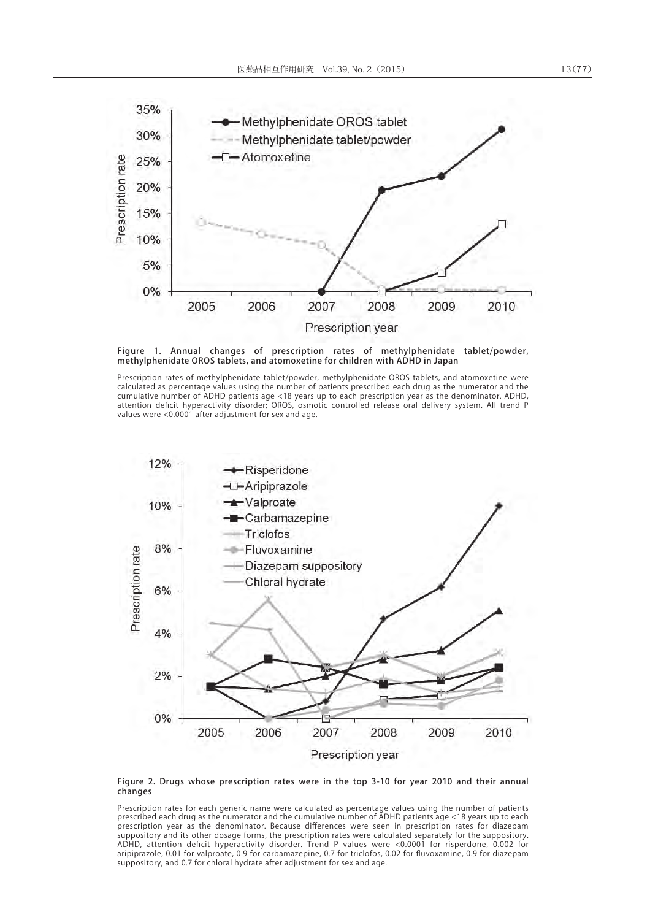

Figure 1. Annual changes of prescription rates of methylphenidate tablet/powder, methylphenidate OROS tablets, and atomoxetine for children with ADHD in Japan

Prescription rates of methylphenidate tablet/powder, methylphenidate OROS tablets, and atomoxetine were calculated as percentage values using the number of patients prescribed each drug as the numerator and the cumulative number of ADHD patients age <18 years up to each prescription year as the denominator. ADHD, attention deficit hyperactivity disorder; OROS, osmotic controlled release oral delivery system. All trend P values were <0.0001 after adjustment for sex and age.



#### Figure 2. Drugs whose prescription rates were in the top 3-10 for year 2010 and their annual changes

Prescription rates for each generic name were calculated as percentage values using the number of patients prescribed each drug as the numerator and the cumulative number of ADHD patients age <18 years up to each prescription year as the denominator. Because differences were seen in prescription rates for diazepam suppository and its other dosage forms, the prescription rates were calculated separately for the suppository. ADHD, attention deficit hyperactivity disorder. Trend P values were <0.0001 for risperdone, 0.002 for aripiprazole, 0.01 for valproate, 0.9 for carbamazepine, 0.7 for triclofos, 0.02 for fluvoxamine, 0.9 for diazepam suppository, and 0.7 for chloral hydrate after adjustment for sex and age.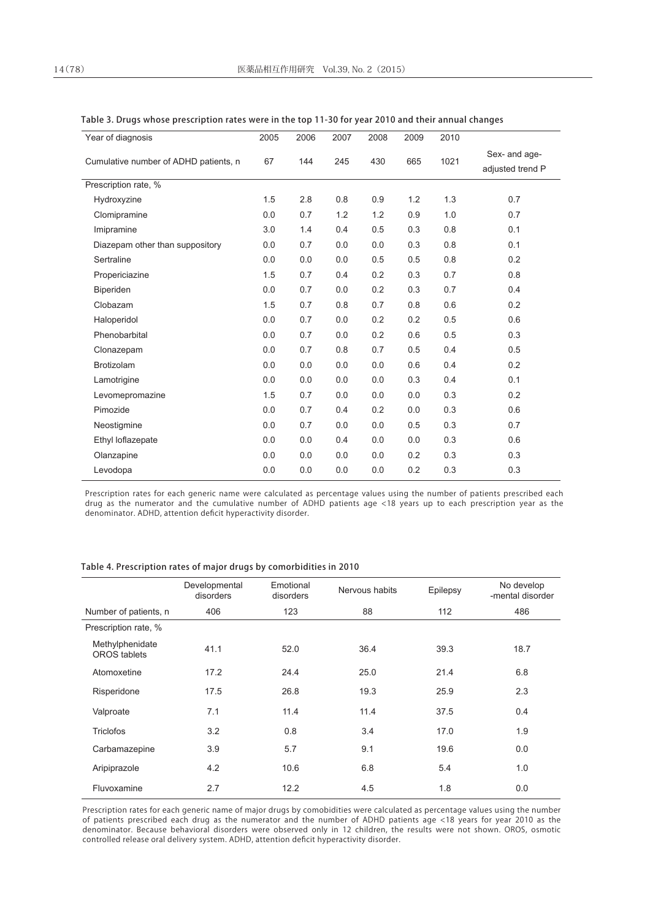| Year of diagnosis                     | 2005 | 2006 | 2007 | 2008 | 2009 | 2010 |                                   |
|---------------------------------------|------|------|------|------|------|------|-----------------------------------|
| Cumulative number of ADHD patients, n | 67   | 144  | 245  | 430  | 665  | 1021 | Sex- and age-<br>adjusted trend P |
| Prescription rate, %                  |      |      |      |      |      |      |                                   |
| Hydroxyzine                           | 1.5  | 2.8  | 0.8  | 0.9  | 1.2  | 1.3  | 0.7                               |
| Clomipramine                          | 0.0  | 0.7  | 1.2  | 1.2  | 0.9  | 1.0  | 0.7                               |
| Imipramine                            | 3.0  | 1.4  | 0.4  | 0.5  | 0.3  | 0.8  | 0.1                               |
| Diazepam other than suppository       | 0.0  | 0.7  | 0.0  | 0.0  | 0.3  | 0.8  | 0.1                               |
| Sertraline                            | 0.0  | 0.0  | 0.0  | 0.5  | 0.5  | 0.8  | 0.2                               |
| Propericiazine                        | 1.5  | 0.7  | 0.4  | 0.2  | 0.3  | 0.7  | 0.8                               |
| Biperiden                             | 0.0  | 0.7  | 0.0  | 0.2  | 0.3  | 0.7  | 0.4                               |
| Clobazam                              | 1.5  | 0.7  | 0.8  | 0.7  | 0.8  | 0.6  | 0.2                               |
| Haloperidol                           | 0.0  | 0.7  | 0.0  | 0.2  | 0.2  | 0.5  | 0.6                               |
| Phenobarbital                         | 0.0  | 0.7  | 0.0  | 0.2  | 0.6  | 0.5  | 0.3                               |
| Clonazepam                            | 0.0  | 0.7  | 0.8  | 0.7  | 0.5  | 0.4  | 0.5                               |
| <b>Brotizolam</b>                     | 0.0  | 0.0  | 0.0  | 0.0  | 0.6  | 0.4  | 0.2                               |
| Lamotrigine                           | 0.0  | 0.0  | 0.0  | 0.0  | 0.3  | 0.4  | 0.1                               |
| Levomepromazine                       | 1.5  | 0.7  | 0.0  | 0.0  | 0.0  | 0.3  | 0.2                               |
| Pimozide                              | 0.0  | 0.7  | 0.4  | 0.2  | 0.0  | 0.3  | 0.6                               |
| Neostigmine                           | 0.0  | 0.7  | 0.0  | 0.0  | 0.5  | 0.3  | 0.7                               |
| Ethyl loflazepate                     | 0.0  | 0.0  | 0.4  | 0.0  | 0.0  | 0.3  | 0.6                               |
| Olanzapine                            | 0.0  | 0.0  | 0.0  | 0.0  | 0.2  | 0.3  | 0.3                               |
| Levodopa                              | 0.0  | 0.0  | 0.0  | 0.0  | 0.2  | 0.3  | 0.3                               |
|                                       |      |      |      |      |      |      |                                   |

#### Table 3. Drugs whose prescription rates were in the top 11-30 for year 2010 and their annual changes

Prescription rates for each generic name were calculated as percentage values using the number of patients prescribed each drug as the numerator and the cumulative number of ADHD patients age <18 years up to each prescription year as the denominator. ADHD, attention deficit hyperactivity disorder.

#### Table 4. Prescription rates of major drugs by comorbidities in 2010

|                                 | Developmental<br>disorders | Emotional<br>disorders | Nervous habits | Epilepsy | No develop<br>-mental disorder |
|---------------------------------|----------------------------|------------------------|----------------|----------|--------------------------------|
| Number of patients, n           | 406                        | 123                    | 88             | 112      | 486                            |
| Prescription rate, %            |                            |                        |                |          |                                |
| Methylphenidate<br>OROS tablets | 41.1                       | 52.0                   | 36.4           | 39.3     | 18.7                           |
| Atomoxetine                     | 17.2                       | 24.4                   | 25.0           | 21.4     | 6.8                            |
| Risperidone                     | 17.5                       | 26.8                   | 19.3           | 25.9     | 2.3                            |
| Valproate                       | 7.1                        | 11.4                   | 11.4           | 37.5     | 0.4                            |
| <b>Triclofos</b>                | 3.2                        | 0.8                    | 3.4            | 17.0     | 1.9                            |
| Carbamazepine                   | 3.9                        | 5.7                    | 9.1            | 19.6     | 0.0                            |
| Aripiprazole                    | 4.2                        | 10.6                   | 6.8            | 5.4      | 1.0                            |
| Fluvoxamine                     | 2.7                        | 12.2                   | 4.5            | 1.8      | 0.0                            |

Prescription rates for each generic name of major drugs by comobidities were calculated as percentage values using the number of patients prescribed each drug as the numerator and the number of ADHD patients age <18 years for year 2010 as the denominator. Because behavioral disorders were observed only in 12 children, the results were not shown. OROS, osmotic controlled release oral delivery system. ADHD, attention deficit hyperactivity disorder.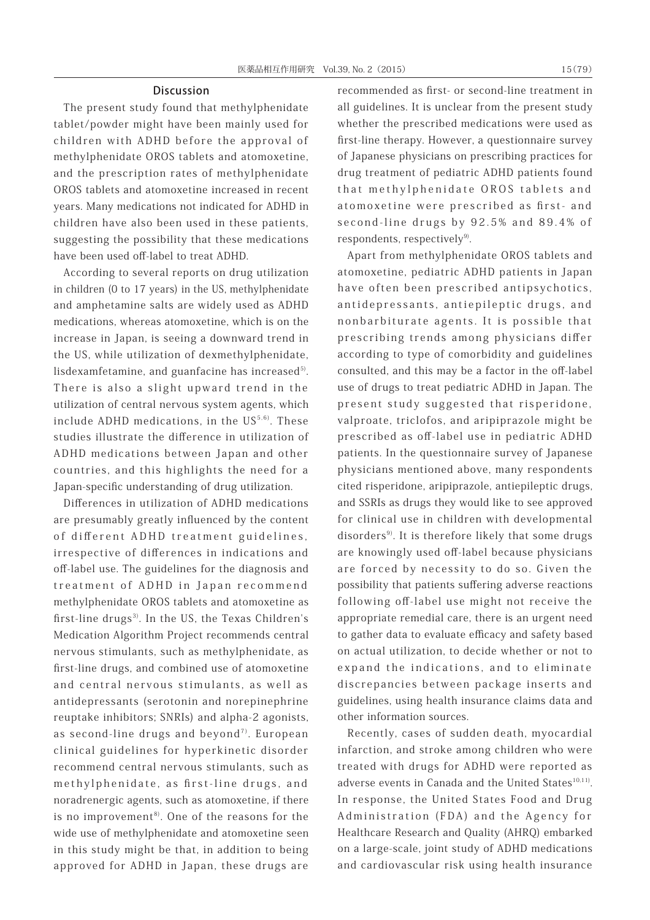#### **Discussion**

The present study found that methylphenidate tablet/powder might have been mainly used for children with ADHD before the approval of methylphenidate OROS tablets and atomoxetine, and the prescription rates of methylphenidate OROS tablets and atomoxetine increased in recent years. Many medications not indicated for ADHD in children have also been used in these patients, suggesting the possibility that these medications have been used off-label to treat ADHD.

According to several reports on drug utilization in children (0 to 17 years) in the US, methylphenidate and amphetamine salts are widely used as ADHD medications, whereas atomoxetine, which is on the increase in Japan, is seeing a downward trend in the US, while utilization of dexmethylphenidate, lisdexamfetamine, and guanfacine has increased $5$ . There is also a slight upward trend in the utilization of central nervous system agents, which include ADHD medications, in the  $US^{5,6}$ . These studies illustrate the difference in utilization of ADHD medications between Japan and other countries, and this highlights the need for a Japan-specific understanding of drug utilization.

Differences in utilization of ADHD medications are presumably greatly influenced by the content of different ADHD treatment guidelines, irrespective of differences in indications and off-label use. The guidelines for the diagnosis and treatment of ADHD in Japan recommend methylphenidate OROS tablets and atomoxetine as first-line drugs<sup>3)</sup>. In the US, the Texas Children's Medication Algorithm Project recommends central nervous stimulants, such as methylphenidate, as first-line drugs, and combined use of atomoxetine and central nervous stimulants, as well as antidepressants (serotonin and norepinephrine reuptake inhibitors; SNRIs) and alpha-2 agonists, as second-line drugs and beyond<sup>7)</sup>. European clinical guidelines for hyperkinetic disorder recommend central nervous stimulants, such as methylphenidate, as first-line drugs, and noradrenergic agents, such as atomoxetine, if there is no improvement<sup>8)</sup>. One of the reasons for the wide use of methylphenidate and atomoxetine seen in this study might be that, in addition to being approved for ADHD in Japan, these drugs are

recommended as first- or second-line treatment in all guidelines. It is unclear from the present study whether the prescribed medications were used as first-line therapy. However, a questionnaire survey of Japanese physicians on prescribing practices for drug treatment of pediatric ADHD patients found that methylphenidate OROS tablets and atomoxetine were prescribed as first- and second-line drugs by 92.5% and 89.4% of respondents, respectively $9$ .

Apart from methylphenidate OROS tablets and atomoxetine, pediatric ADHD patients in Japan have often been prescribed antipsychotics, antidepressants, antiepileptic drugs, and nonbarbiturate agents. It is possible that prescribing trends among physicians differ according to type of comorbidity and guidelines consulted, and this may be a factor in the off-label use of drugs to treat pediatric ADHD in Japan. The present study suggested that risperidone, valproate, triclofos, and aripiprazole might be prescribed as off-label use in pediatric ADHD patients. In the questionnaire survey of Japanese physicians mentioned above, many respondents cited risperidone, aripiprazole, antiepileptic drugs, and SSRIs as drugs they would like to see approved for clinical use in children with developmental disorders<sup>9)</sup>. It is therefore likely that some drugs are knowingly used off-label because physicians are forced by necessity to do so. Given the possibility that patients suffering adverse reactions following off-label use might not receive the appropriate remedial care, there is an urgent need to gather data to evaluate efficacy and safety based on actual utilization, to decide whether or not to expand the indications, and to eliminate discrepancies between package inserts and guidelines, using health insurance claims data and other information sources.

Recently, cases of sudden death, myocardial infarction, and stroke among children who were treated with drugs for ADHD were reported as adverse events in Canada and the United States<sup>10,11)</sup>. In response, the United States Food and Drug Administration (FDA) and the Agency for Healthcare Research and Quality (AHRQ) embarked on a large-scale, joint study of ADHD medications and cardiovascular risk using health insurance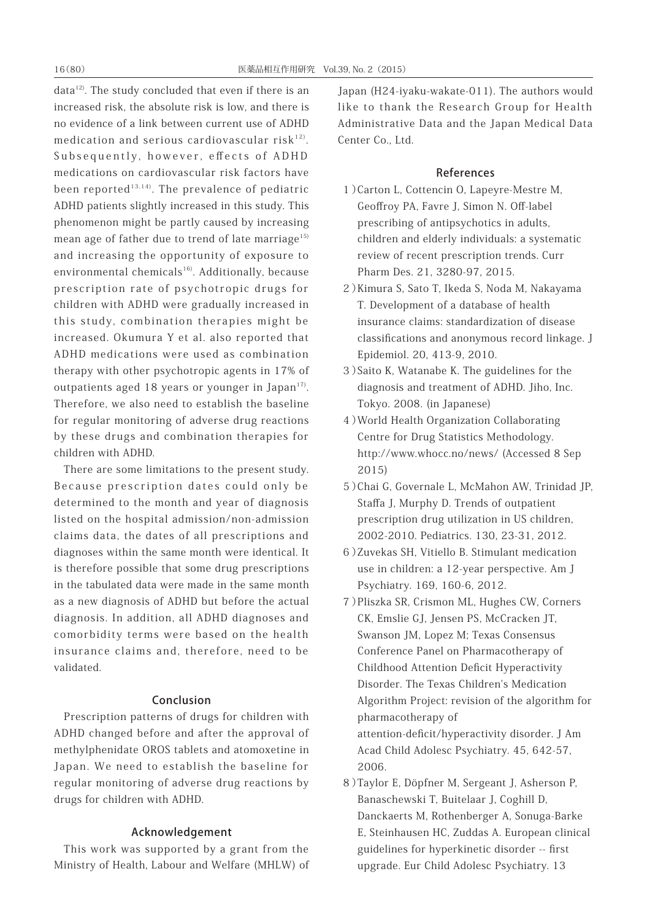data<sup>12)</sup>. The study concluded that even if there is an increased risk, the absolute risk is low, and there is no evidence of a link between current use of ADHD medication and serious cardiovascular risk $12$ . Subsequently, however, effects of ADHD medications on cardiovascular risk factors have been reported<sup>13,14)</sup>. The prevalence of pediatric ADHD patients slightly increased in this study. This phenomenon might be partly caused by increasing mean age of father due to trend of late marriage<sup>15)</sup> and increasing the opportunity of exposure to environmental chemicals<sup>16)</sup>. Additionally, because prescription rate of psychotropic drugs for children with ADHD were gradually increased in this study, combination therapies might be increased. Okumura Y et al. also reported that ADHD medications were used as combination therapy with other psychotropic agents in 17% of outpatients aged 18 years or younger in Japan $17$ . Therefore, we also need to establish the baseline for regular monitoring of adverse drug reactions by these drugs and combination therapies for children with ADHD.

There are some limitations to the present study. Because prescription dates could only be determined to the month and year of diagnosis listed on the hospital admission/non-admission claims data, the dates of all prescriptions and diagnoses within the same month were identical. It is therefore possible that some drug prescriptions in the tabulated data were made in the same month as a new diagnosis of ADHD but before the actual diagnosis. In addition, all ADHD diagnoses and comorbidity terms were based on the health insurance claims and, therefore, need to be validated.

# Conclusion

Prescription patterns of drugs for children with ADHD changed before and after the approval of methylphenidate OROS tablets and atomoxetine in Japan. We need to establish the baseline for regular monitoring of adverse drug reactions by drugs for children with ADHD.

# Acknowledgement

This work was supported by a grant from the Ministry of Health, Labour and Welfare (MHLW) of Japan (H24-iyaku-wakate-011). The authors would like to thank the Research Group for Health Administrative Data and the Japan Medical Data Center Co., Ltd.

# References

- 1)Carton L, Cottencin O, Lapeyre-Mestre M, Geoffroy PA, Favre J, Simon N. Off-label prescribing of antipsychotics in adults, children and elderly individuals: a systematic review of recent prescription trends. Curr Pharm Des. 21, 3280-97, 2015.
- 2)Kimura S, Sato T, Ikeda S, Noda M, Nakayama T. Development of a database of health insurance claims: standardization of disease classifications and anonymous record linkage. J Epidemiol. 20, 413-9, 2010.
- 3)Saito K, Watanabe K. The guidelines for the diagnosis and treatment of ADHD. Jiho, Inc. Tokyo. 2008. (in Japanese)
- 4)World Health Organization Collaborating Centre for Drug Statistics Methodology. http://www.whocc.no/news/ (Accessed 8 Sep 2015)
- 5)Chai G, Governale L, McMahon AW, Trinidad JP, Staffa J, Murphy D. Trends of outpatient prescription drug utilization in US children, 2002-2010. Pediatrics. 130, 23-31, 2012.
- 6)Zuvekas SH, Vitiello B. Stimulant medication use in children: a 12-year perspective. Am J Psychiatry. 169, 160-6, 2012.
- 7)Pliszka SR, Crismon ML, Hughes CW, Corners CK, Emslie GJ, Jensen PS, McCracken JT, Swanson JM, Lopez M; Texas Consensus Conference Panel on Pharmacotherapy of Childhood Attention Deficit Hyperactivity Disorder. The Texas Children's Medication Algorithm Project: revision of the algorithm for pharmacotherapy of attention-deficit/hyperactivity disorder. J Am Acad Child Adolesc Psychiatry. 45, 642-57, 2006.
- 8)Taylor E, Döpfner M, Sergeant J, Asherson P, Banaschewski T, Buitelaar J, Coghill D, Danckaerts M, Rothenberger A, Sonuga-Barke E, Steinhausen HC, Zuddas A. European clinical guidelines for hyperkinetic disorder -- first upgrade. Eur Child Adolesc Psychiatry. 13